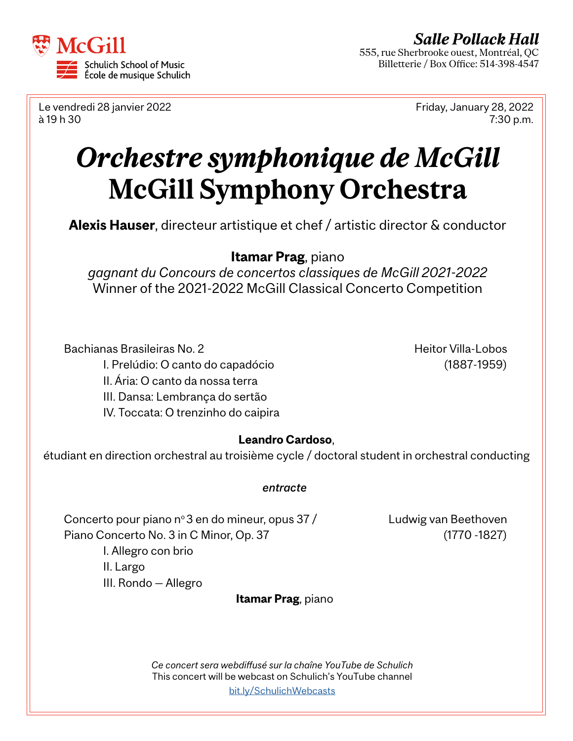

Le vendredi 28 janvier 2022 Friday, January 28, 2022 à 19 h 30 7:30 p.m.

# *Orchestre symphonique de McGill* **McGill Symphony Orchestra**

**Alexis Hauser**, directeur artistique et chef / artistic director & conductor

## **Itamar Prag**, piano

*gagnant du Concours de concertos classiques de McGill 2021-2022*  Winner of the 2021-2022 McGill Classical Concerto Competition

Bachianas Brasileiras No. 2 Heitor Villa-Lobos I. Prelúdio: O canto do capadócio (1887-1959) II. Ária: O canto da nossa terra III. Dansa: Lembrança do sertão IV. Toccata: O trenzinho do caipira

## **Leandro Cardoso**,

étudiant en direction orchestral au troisième cycle / doctoral student in orchestral conducting

### *entracte*

Concerto pour piano n°3 en do mineur, opus  $37 /$  Ludwig van Beethoven Piano Concerto No. 3 in C Minor, Op. 37 (1770 -1827)

I. Allegro con brio II. Largo III. Rondo — Allegro

**Itamar Prag**, piano

*Ce concert sera webdiffusé sur la chaîne YouTube de Schulich*  This concert will be webcast on Schulich's YouTube channel [bit.ly/S](http://bit.ly/SchulichWebcasts)chulichWebcasts